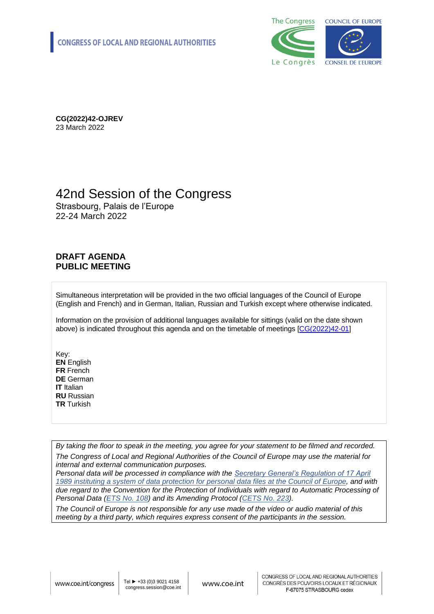

**CG(2022)42-OJREV** 23 March 2022

### 42nd Session of the Congress

Strasbourg, Palais de l'Europe 22-24 March 2022

#### **DRAFT AGENDA PUBLIC MEETING**

Simultaneous interpretation will be provided in the two official languages of the Council of Europe (English and French) and in German, Italian, Russian and Turkish except where otherwise indicated.

Information on the provision of additional languages available for sittings (valid on the date shown above) is indicated throughout this agenda and on the timetable of meetings [\[CG\(2022\)42-01\]](https://search.coe.int/cm/Pages/result_details.aspx?Reference=CG(2022)42-01)

Key: **EN** English **FR** French **DE** German **IT** Italian **RU** Russian **TR** Turkish

*By taking the floor to speak in the meeting, you agree for your statement to be filmed and recorded. The Congress of Local and Regional Authorities of the Council of Europe may use the material for internal and external communication purposes.* 

*Personal data will be processed in compliance with the [Secretary General's Regulation of 17 April](https://rm.coe.int/CoERMPublicCommonSearchServices/DisplayDCTMContent?documentId=0900001680684608)  [1989 instituting a system of data protection for personal data files at the Council of Europe,](https://rm.coe.int/CoERMPublicCommonSearchServices/DisplayDCTMContent?documentId=0900001680684608) and with due regard to the Convention for the Protection of Individuals with regard to Automatic Processing of Personal Data [\(ETS No.](https://www.coe.int/en/web/conventions/full-list/-/conventions/treaty/108) 108) and its Amending Protocol [\(CETS No.](https://www.coe.int/en/web/conventions/full-list/-/conventions/treaty/223) 223).*

*The Council of Europe is not responsible for any use made of the video or audio material of this meeting by a third party, which requires express consent of the participants in the session.*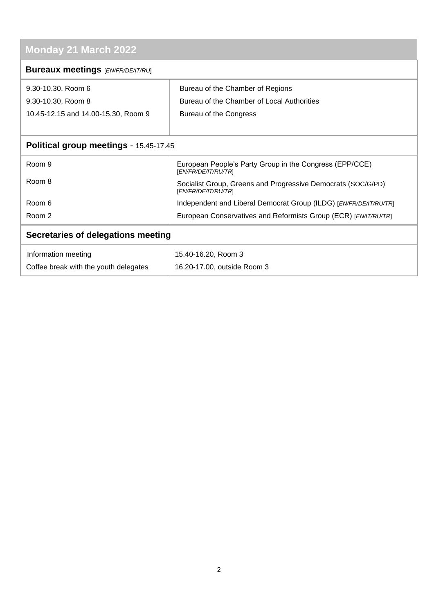# **Monday 21 March 2022**

| $\cdots$ $\cdots$ $\cdots$ $\cdots$ $\cdots$ $\cdots$ $\cdots$ |                                                                                     |
|----------------------------------------------------------------|-------------------------------------------------------------------------------------|
| <b>Bureaux meetings [EN/FR/DE/IT/RU]</b>                       |                                                                                     |
| 9.30-10.30, Room 6                                             | Bureau of the Chamber of Regions                                                    |
| 9.30-10.30, Room 8                                             | Bureau of the Chamber of Local Authorities                                          |
| 10.45-12.15 and 14.00-15.30, Room 9                            | Bureau of the Congress                                                              |
|                                                                |                                                                                     |
| Political group meetings - 15.45-17.45                         |                                                                                     |
| Room 9                                                         | European People's Party Group in the Congress (EPP/CCE)<br>[EN/FR/DE/IT/RU/TR]      |
| Room 8                                                         | Socialist Group, Greens and Progressive Democrats (SOC/G/PD)<br>[EN/FR/DE/IT/RU/TR] |
| Room 6                                                         | Independent and Liberal Democrat Group (ILDG) [EN/FR/DE/IT/RU/TR]                   |
| Room 2                                                         | European Conservatives and Reformists Group (ECR) [EN/IT/RU/TR]                     |
| Secretaries of delegations meeting                             |                                                                                     |

| Information meeting                   | 15.40-16.20, Room 3         |
|---------------------------------------|-----------------------------|
| Coffee break with the youth delegates | 16.20-17.00, outside Room 3 |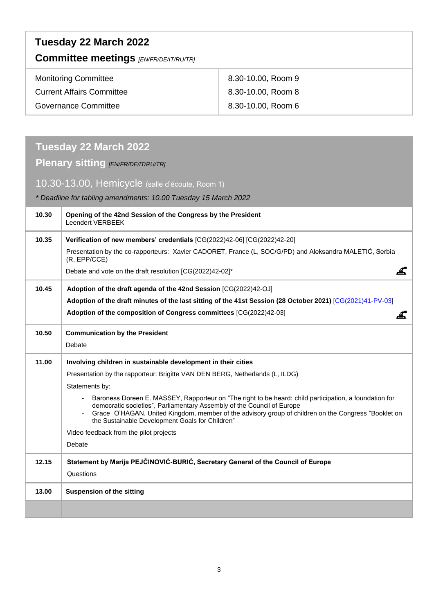| Tuesday 22 March 2022<br><b>Committee meetings [EN/FR/DE/IT/RU/TR]</b> |                    |  |
|------------------------------------------------------------------------|--------------------|--|
| <b>Monitoring Committee</b>                                            | 8.30-10.00, Room 9 |  |
| <b>Current Affairs Committee</b>                                       | 8.30-10.00, Room 8 |  |
| Governance Committee                                                   | 8.30-10.00, Room 6 |  |

## **Tuesday 22 March 2022**

### **Plenary sitting** *[EN/FR/DE/IT/RU/TR]*

### 10.30-13.00, Hemicycle (salle d'écoute, Room 1)

*\* Deadline for tabling amendments: 10.00 Tuesday 15 March 2022*

| 10.30 | Opening of the 42nd Session of the Congress by the President<br>Leendert VERBEEK                                                                                                                                                                                                                                                           |
|-------|--------------------------------------------------------------------------------------------------------------------------------------------------------------------------------------------------------------------------------------------------------------------------------------------------------------------------------------------|
| 10.35 | Verification of new members' credentials [CG(2022)42-06] [CG(2022)42-20]                                                                                                                                                                                                                                                                   |
|       | Presentation by the co-rapporteurs: Xavier CADORET, France (L, SOC/G/PD) and Aleksandra MALETIĆ, Serbia<br>(R, EPP/CCE)                                                                                                                                                                                                                    |
|       | Debate and vote on the draft resolution [CG(2022)42-02]*<br>.ű.                                                                                                                                                                                                                                                                            |
| 10.45 | Adoption of the draft agenda of the 42nd Session [CG(2022)42-OJ]                                                                                                                                                                                                                                                                           |
|       | Adoption of the draft minutes of the last sitting of the 41st Session (28 October 2021) [CG(2021)41-PV-03]                                                                                                                                                                                                                                 |
|       | Adoption of the composition of Congress committees [CG(2022)42-03]                                                                                                                                                                                                                                                                         |
| 10.50 | <b>Communication by the President</b>                                                                                                                                                                                                                                                                                                      |
|       | Debate                                                                                                                                                                                                                                                                                                                                     |
| 11.00 | Involving children in sustainable development in their cities                                                                                                                                                                                                                                                                              |
|       | Presentation by the rapporteur: Brigitte VAN DEN BERG, Netherlands (L, ILDG)                                                                                                                                                                                                                                                               |
|       | Statements by:                                                                                                                                                                                                                                                                                                                             |
|       | Baroness Doreen E. MASSEY, Rapporteur on "The right to be heard: child participation, a foundation for<br>democratic societies", Parliamentary Assembly of the Council of Europe<br>Grace O'HAGAN, United Kingdom, member of the advisory group of children on the Congress "Booklet on<br>the Sustainable Development Goals for Children" |
|       | Video feedback from the pilot projects                                                                                                                                                                                                                                                                                                     |
|       | Debate                                                                                                                                                                                                                                                                                                                                     |
| 12.15 | Statement by Marija PEJČINOVIĆ-BURIĆ, Secretary General of the Council of Europe                                                                                                                                                                                                                                                           |
|       | Questions                                                                                                                                                                                                                                                                                                                                  |
| 13.00 | <b>Suspension of the sitting</b>                                                                                                                                                                                                                                                                                                           |
|       |                                                                                                                                                                                                                                                                                                                                            |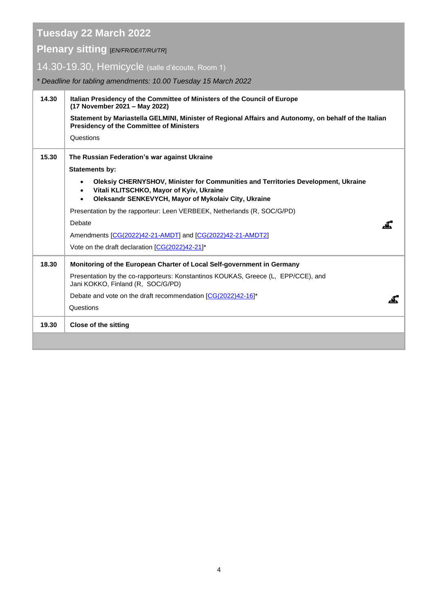**Tuesday 22 March 2022**

**Plenary sitting** [*EN/FR/DE/IT/RU/TR*]

14.30-19.30, Hemicycle (salle d'écoute, Room 1)

*\* Deadline for tabling amendments: 10.00 Tuesday 15 March 2022*

| 14.30 | Italian Presidency of the Committee of Ministers of the Council of Europe<br>(17 November 2021 - May 2022)<br>Statement by Mariastella GELMINI, Minister of Regional Affairs and Autonomy, on behalf of the Italian<br><b>Presidency of the Committee of Ministers</b><br>Questions |
|-------|-------------------------------------------------------------------------------------------------------------------------------------------------------------------------------------------------------------------------------------------------------------------------------------|
| 15.30 | The Russian Federation's war against Ukraine                                                                                                                                                                                                                                        |
|       | <b>Statements by:</b>                                                                                                                                                                                                                                                               |
|       | Oleksiy CHERNYSHOV, Minister for Communities and Territories Development, Ukraine<br>$\bullet$<br>Vitali KLITSCHKO, Mayor of Kyiv, Ukraine<br>Oleksandr SENKEVYCH, Mayor of Mykolaiv City, Ukraine                                                                                  |
|       | Presentation by the rapporteur: Leen VERBEEK, Netherlands (R, SOC/G/PD)                                                                                                                                                                                                             |
|       | Debate                                                                                                                                                                                                                                                                              |
|       | Amendments [CG(2022)42-21-AMDT] and [CG(2022)42-21-AMDT2]                                                                                                                                                                                                                           |
|       | Vote on the draft declaration [CG(2022)42-21]*                                                                                                                                                                                                                                      |
| 18.30 | Monitoring of the European Charter of Local Self-government in Germany                                                                                                                                                                                                              |
|       | Presentation by the co-rapporteurs: Konstantinos KOUKAS, Greece (L. EPP/CCE), and<br>Jani KOKKO, Finland (R, SOC/G/PD)                                                                                                                                                              |
|       | Debate and vote on the draft recommendation $[CG(2022)42-16]^*$                                                                                                                                                                                                                     |
|       | Questions                                                                                                                                                                                                                                                                           |
| 19.30 | <b>Close of the sitting</b>                                                                                                                                                                                                                                                         |
|       |                                                                                                                                                                                                                                                                                     |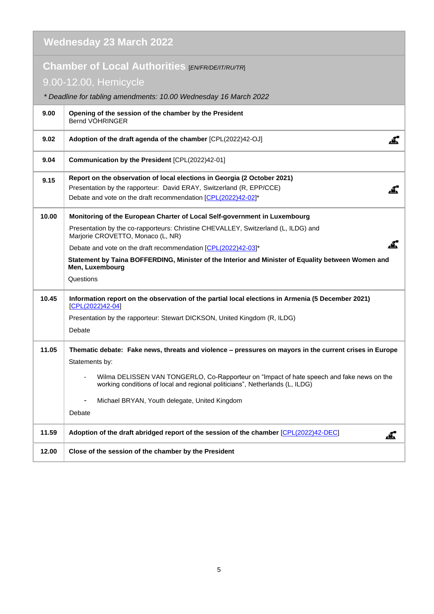| <b>Wednesday 23 March 2022</b> |                                                                                                                                                                                                                                                                                                                                                                                                             |  |
|--------------------------------|-------------------------------------------------------------------------------------------------------------------------------------------------------------------------------------------------------------------------------------------------------------------------------------------------------------------------------------------------------------------------------------------------------------|--|
|                                | Chamber of Local Authorities [EN/FR/DE/IT/RU/TR]<br>9.00-12.00, Hemicycle<br>* Deadline for tabling amendments: 10.00 Wednesday 16 March 2022                                                                                                                                                                                                                                                               |  |
| 9.00                           | Opening of the session of the chamber by the President<br>Bernd VÖHRINGER                                                                                                                                                                                                                                                                                                                                   |  |
| 9.02                           | <u>.4.</u><br>Adoption of the draft agenda of the chamber [CPL(2022)42-OJ]                                                                                                                                                                                                                                                                                                                                  |  |
| 9.04                           | Communication by the President [CPL(2022)42-01]                                                                                                                                                                                                                                                                                                                                                             |  |
| 9.15                           | Report on the observation of local elections in Georgia (2 October 2021)<br>Presentation by the rapporteur: David ERAY, Switzerland (R, EPP/CCE)<br>Debate and vote on the draft recommendation [CPL(2022)42-02]*                                                                                                                                                                                           |  |
| 10.00                          | Monitoring of the European Charter of Local Self-government in Luxembourg<br>Presentation by the co-rapporteurs: Christine CHEVALLEY, Switzerland (L, ILDG) and<br>Marjorie CROVETTO, Monaco (L, NR)<br>Debate and vote on the draft recommendation [CPL(2022)42-03]*<br>Statement by Taina BOFFERDING, Minister of the Interior and Minister of Equality between Women and<br>Men, Luxembourg<br>Questions |  |
| 10.45                          | Information report on the observation of the partial local elections in Armenia (5 December 2021)<br>$[CPL(2022)42-04]$<br>Presentation by the rapporteur: Stewart DICKSON, United Kingdom (R, ILDG)<br>Debate                                                                                                                                                                                              |  |
| 11.05                          | Thematic debate: Fake news, threats and violence - pressures on mayors in the current crises in Europe<br>Statements by:<br>Wilma DELISSEN VAN TONGERLO, Co-Rapporteur on "Impact of hate speech and fake news on the<br>working conditions of local and regional politicians", Netherlands (L, ILDG)<br>Michael BRYAN, Youth delegate, United Kingdom<br>Debate                                            |  |
| 11.59                          | Adoption of the draft abridged report of the session of the chamber [CPL(2022)42-DEC]<br><u>.4.</u>                                                                                                                                                                                                                                                                                                         |  |
| 12.00                          | Close of the session of the chamber by the President                                                                                                                                                                                                                                                                                                                                                        |  |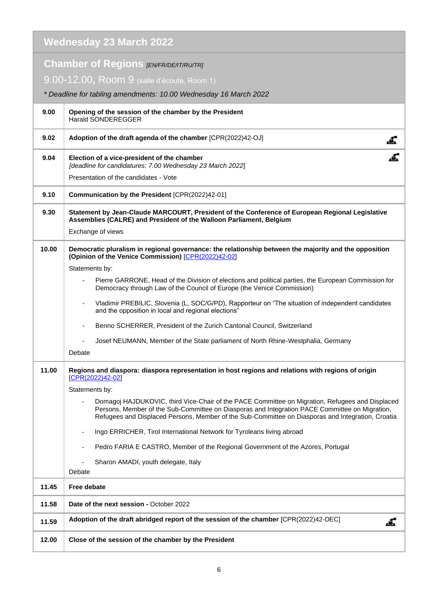#### **Wednesday 23 March 2022 Chamber of Regions** *[EN/FR/DE/IT/RU/TR]* 9.00-12.00**,** Room 9 (salle d'écoute, Room 1) *\* Deadline for tabling amendments: 10.00 Wednesday 16 March 2022* **9.00 Opening of the session of the chamber by the President** Harald SONDEREGGER **9.02 Adoption of the draft agenda of the chamber** [CPR(2022)42-OJ] .4. .G. **9.04 Election of a vice-president of the chamber** *[deadline for candidatures: 7.00 Wednesday 23 March 2022*] Presentation of the candidates - Vote **9.10 Communication by the President** [CPR(2022)42-01] **9.30 Statement by Jean-Claude MARCOURT, President of the Conference of European Regional Legislative Assemblies (CALRE) and President of the Walloon Parliament, Belgium** Exchange of views **10.00 Democratic pluralism in regional governance: the relationship between the majority and the opposition (Opinion of the Venice Commission)** [\[CPR\(2022\)42-02\]](https://rm.coe.int/concept-for-the-debates-in-the-chamber-of-regions-on-23-march-2022/1680a5e82a) Statements by: Pierre GARRONE, Head of the Division of elections and political parties, the European Commission for Democracy through Law of the Council of Europe (the Venice Commission) Vladimir PREBILIC, Slovenia (L, SOC/G/PD), Rapporteur on "The situation of independent candidates and the opposition in local and regional elections" Benno SCHERRER, President of the Zurich Cantonal Council, Switzerland - Josef NEUMANN, Member of the State parliament of North Rhine-Westphalia, Germany Debate **11.00 Regions and diaspora: diaspora representation in host regions and relations with regions of origin**  [\[CPR\(2022\)42-02\]](https://rm.coe.int/concept-for-the-debates-in-the-chamber-of-regions-on-23-march-2022/1680a5e82a) Statements by: - Domagoj HAJDUKOVIC, third Vice-Chair of the PACE Committee on Migration, Refugees and Displaced Persons, Member of the Sub-Committee on Diasporas and Integration PACE Committee on Migration, Refugees and Displaced Persons, Member of the Sub-Committee on Diasporas and Integration, Croatia - Ingo ERRICHER, Tirol International Network for Tyroleans living abroad Pedro FARIA E CASTRO, Member of the Regional Government of the Azores, Portugal Sharon AMADI, youth delegate, Italy **Debate 11.45 Free debate 11.58 Date of the next session -** October 2022 **11.59 Adoption of the draft abridged report of the session of the chamber** [CPR(2022)42-DEC] <u>.4.</u> **12.00 Close of the session of the chamber by the President**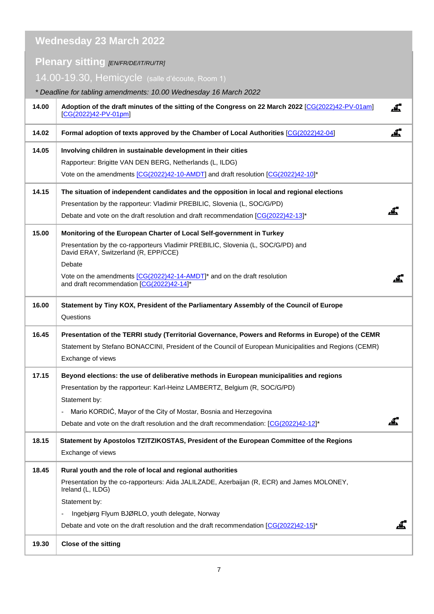|       | <b>Wednesday 23 March 2022</b>                                                                                               |             |
|-------|------------------------------------------------------------------------------------------------------------------------------|-------------|
|       | <b>Plenary sitting [EN/FR/DE/IT/RU/TR]</b>                                                                                   |             |
|       | 14.00-19.30, Hemicycle (salle d'écoute, Room 1)                                                                              |             |
|       | * Deadline for tabling amendments: 10.00 Wednesday 16 March 2022                                                             |             |
| 14.00 | Adoption of the draft minutes of the sitting of the Congress on 22 March 2022 [CG(2022)42-PV-01am]<br>$[CG(2022)42-PV-01pm]$ | ∠≗.         |
| 14.02 | Formal adoption of texts approved by the Chamber of Local Authorities [CG(2022)42-04]                                        | <u>.L.</u>  |
| 14.05 | Involving children in sustainable development in their cities                                                                |             |
|       | Rapporteur: Brigitte VAN DEN BERG, Netherlands (L, ILDG)                                                                     |             |
|       | Vote on the amendments [CG(2022)42-10-AMDT] and draft resolution [CG(2022)42-10]*                                            |             |
| 14.15 | The situation of independent candidates and the opposition in local and regional elections                                   |             |
|       | Presentation by the rapporteur: Vladimir PREBILIC, Slovenia (L, SOC/G/PD)                                                    |             |
|       | Debate and vote on the draft resolution and draft recommendation [CG(2022)42-13]*                                            |             |
| 15.00 | Monitoring of the European Charter of Local Self-government in Turkey                                                        |             |
|       | Presentation by the co-rapporteurs Vladimir PREBILIC, Slovenia (L, SOC/G/PD) and                                             |             |
|       | David ERAY, Switzerland (R, EPP/CCE)<br>Debate                                                                               |             |
|       | Vote on the amendments [CG(2022)42-14-AMDT]* and on the draft resolution                                                     |             |
|       | and draft recommendation [CG(2022)42-14]*                                                                                    | <u>. 47</u> |
| 16.00 | Statement by Tiny KOX, President of the Parliamentary Assembly of the Council of Europe<br>Questions                         |             |
| 16.45 | Presentation of the TERRI study (Territorial Governance, Powers and Reforms in Europe) of the CEMR                           |             |
|       | Statement by Stefano BONACCINI, President of the Council of European Municipalities and Regions (CEMR)                       |             |
|       | Exchange of views                                                                                                            |             |
| 17.15 | Beyond elections: the use of deliberative methods in European municipalities and regions                                     |             |
|       | Presentation by the rapporteur: Karl-Heinz LAMBERTZ, Belgium (R, SOC/G/PD)                                                   |             |
|       | Statement by:                                                                                                                |             |
|       | Mario KORDIĆ, Mayor of the City of Mostar, Bosnia and Herzegovina<br>-                                                       |             |
|       | Debate and vote on the draft resolution and the draft recommendation: [CG(2022)42-12]*                                       |             |
| 18.15 | Statement by Apostolos TZITZIKOSTAS, President of the European Committee of the Regions                                      |             |
|       | Exchange of views                                                                                                            |             |
| 18.45 | Rural youth and the role of local and regional authorities                                                                   |             |
|       | Presentation by the co-rapporteurs: Aida JALILZADE, Azerbaijan (R, ECR) and James MOLONEY,<br>Ireland (L, ILDG)              |             |
|       | Statement by:                                                                                                                |             |
|       | Ingebjørg Flyum BJØRLO, youth delegate, Norway<br>$\overline{\phantom{0}}$                                                   |             |
|       | Debate and vote on the draft resolution and the draft recommendation $[CG(2022)42-15]^*$                                     |             |
| 19.30 | <b>Close of the sitting</b>                                                                                                  |             |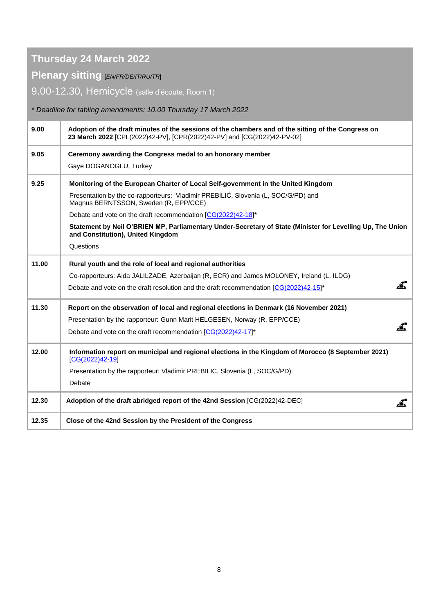### **Thursday 24 March 2022**

#### **Plenary sitting** [*EN/FR/DE/IT/RU/TR*]

9.00-12.30, Hemicycle (salle d'écoute, Room 1)

*\* Deadline for tabling amendments: 10.00 Thursday 17 March 2022*

| 9.00  | Adoption of the draft minutes of the sessions of the chambers and of the sitting of the Congress on<br>23 March 2022 [CPL(2022)42-PV], [CPR(2022)42-PV] and [CG(2022)42-PV-02] |
|-------|--------------------------------------------------------------------------------------------------------------------------------------------------------------------------------|
| 9.05  | Ceremony awarding the Congress medal to an honorary member                                                                                                                     |
|       | Gaye DOGANOGLU, Turkey                                                                                                                                                         |
| 9.25  | Monitoring of the European Charter of Local Self-government in the United Kingdom                                                                                              |
|       | Presentation by the co-rapporteurs: Vladimir PREBILIĆ, Slovenia (L, SOC/G/PD) and<br>Magnus BERNTSSON, Sweden (R, EPP/CCE)                                                     |
|       | Debate and vote on the draft recommendation [CG(2022)42-18]*                                                                                                                   |
|       | Statement by Neil O'BRIEN MP, Parliamentary Under-Secretary of State (Minister for Levelling Up, The Union<br>and Constitution), United Kingdom                                |
|       | Questions                                                                                                                                                                      |
| 11.00 | Rural youth and the role of local and regional authorities                                                                                                                     |
|       | Co-rapporteurs: Aida JALILZADE, Azerbaijan (R, ECR) and James MOLONEY, Ireland (L, ILDG)                                                                                       |
|       | Debate and vote on the draft resolution and the draft recommendation [CG(2022)42-15]*                                                                                          |
| 11.30 | Report on the observation of local and regional elections in Denmark (16 November 2021)                                                                                        |
|       | Presentation by the rapporteur: Gunn Marit HELGESEN, Norway (R, EPP/CCE)                                                                                                       |
|       | Debate and vote on the draft recommendation [CG(2022)42-17]*                                                                                                                   |
| 12.00 | Information report on municipal and regional elections in the Kingdom of Morocco (8 September 2021)<br>$[CG(2022)42-19]$                                                       |
|       | Presentation by the rapporteur: Vladimir PREBILIC, Slovenia (L, SOC/G/PD)                                                                                                      |
|       | Debate                                                                                                                                                                         |
| 12.30 | Adoption of the draft abridged report of the 42nd Session [CG(2022)42-DEC]                                                                                                     |
| 12.35 | Close of the 42nd Session by the President of the Congress                                                                                                                     |